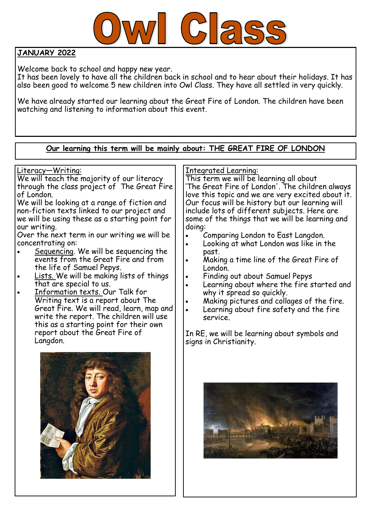

# **JANUARY 2022**

Welcome back to school and happy new year.

It has been lovely to have all the children back in school and to hear about their holidays. It has also been good to welcome 5 new children into Owl Class. They have all settled in very quickly.

We have already started our learning about the Great Fire of London. The children have been watching and listening to information about this event.

#### **Our learning this term will be mainly about: THE GREAT FIRE OF LONDON** Literacy—Writing: We will teach the majority of our literacy through the class project of The Great Fire of London. We will be looking at a range of fiction and non-fiction texts linked to our project and we will be using these as a starting point for our writing. Over the next term in our writing we will be concentrating on: Sequencing. We will be sequencing the events from the Great Fire and from the life of Samuel Pepys. Lists. We will be making lists of things that are special to us. Information texts. Our Talk for Writing text is a report about The Great Fire. We will read, learn, map and write the report. The children will use this as a starting point for their own report about the Great Fire of Langdon. Integrated Learning: This term we will be learning all about 'The Great Fire of London'. The children always love this topic and we are very excited about it. Our focus will be history but our learning will include lots of different subjects. Here are some of the things that we will be learning and doing: Comparing London to East Langdon. Looking at what London was like in the past. Making a time line of the Great Fire of London. Finding out about Samuel Pepys Learning about where the fire started and why it spread so quickly. Making pictures and collages of the fire. Learning about fire safety and the fire service. In RE, we will be learning about symbols and signs in Christianity.